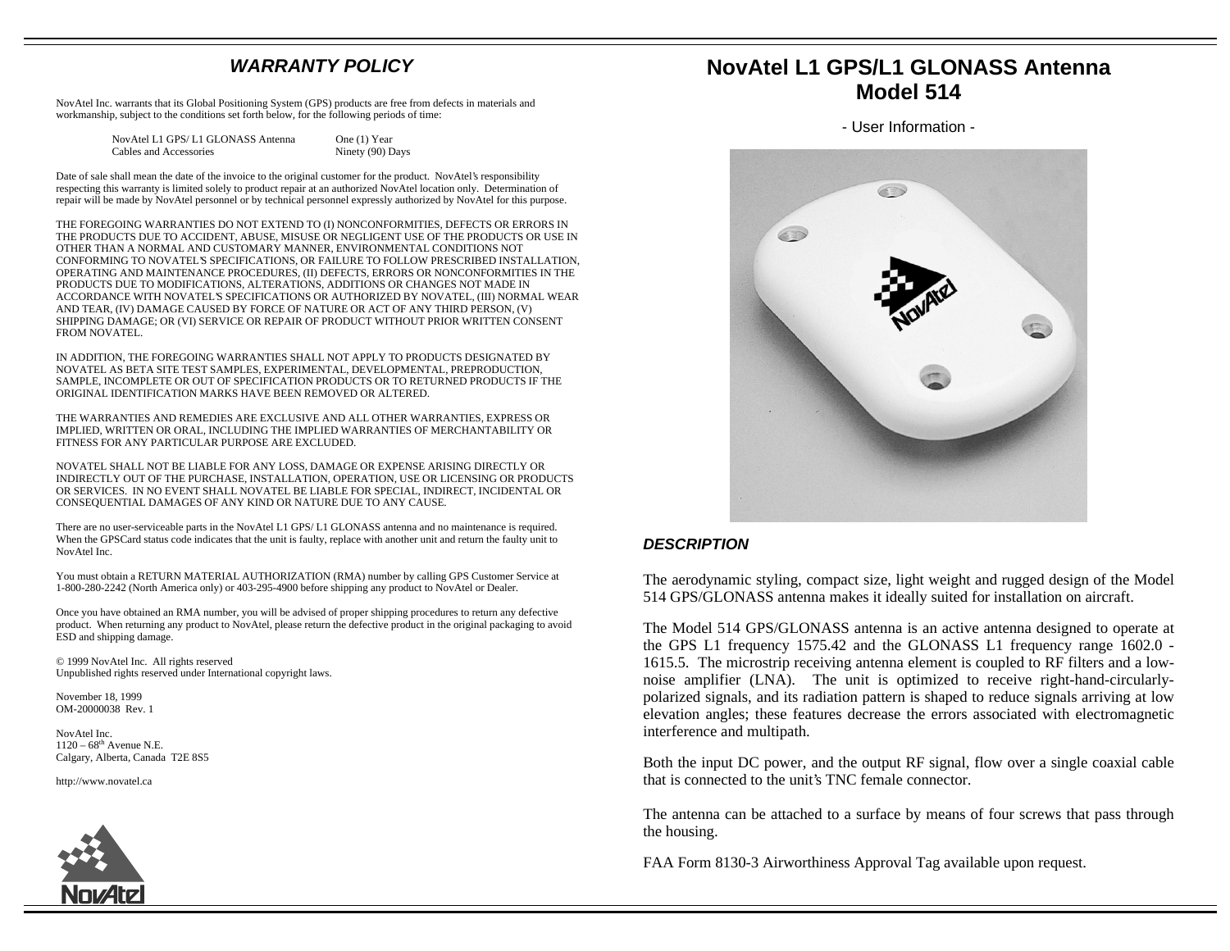### **WARRANTY POLICY**

NovAtel Inc. warrants that its Global Positioning System (GPS) products are free from defects in materials and workmanship, subject to the conditions set forth below, for the following periods of time:

| NovAtel L1 GPS/L1 GLONASS Antenna | One (1) Year     |
|-----------------------------------|------------------|
| Cables and Accessories            | Ninety (90) Days |

Date of sale shall mean the date of the invoice to the original customer for the product. NovAtel's responsibility respecting this warranty is limited solely to product repair at an authorized NovAtel location only. Determination of repair will be made by NovAtel personnel or by technical personnel expressly authorized by NovAtel for this purpose.

THE FOREGOING WARRANTIES DO NOT EXTEND TO (I) NONCONFORMITIES, DEFECTS OR ERRORS IN THE PRODUCTS DUE TO ACCIDENT, ABUSE, MISUSE OR NEGLIGENT USE OF THE PRODUCTS OR USE IN OTHER THAN A NORMAL AND CUSTOMARY MANNER, ENVIRONMENTAL CONDITIONS NOT CONFORMING TO NOVATEL'S SPECIFICATIONS, OR FAILURE TO FOLLOW PRESCRIBED INSTALLATION, OPERATING AND MAINTENANCE PROCEDURES, (II) DEFECTS, ERRORS OR NONCONFORMITIES IN THE PRODUCTS DUE TO MODIFICATIONS, ALTERATIONS, ADDITIONS OR CHANGES NOT MADE IN ACCORDANCE WITH NOVATEL'S SPECIFICATIONS OR AUTHORIZED BY NOVATEL, (III) NORMAL WEAR AND TEAR, (IV) DAMAGE CAUSED BY FORCE OF NATURE OR ACT OF ANY THIRD PERSON, (V) SHIPPING DAMAGE; OR (VI) SERVICE OR REPAIR OF PRODUCT WITHOUT PRIOR WRITTEN CONSENT FROM NOVATEL.

IN ADDITION, THE FOREGOING WARRANTIES SHALL NOT APPLY TO PRODUCTS DESIGNATED BY NOVATEL AS BETA SITE TEST SAMPLES, EXPERIMENTAL, DEVELOPMENTAL, PREPRODUCTION, SAMPLE, INCOMPLETE OR OUT OF SPECIFICATION PRODUCTS OR TO RETURNED PRODUCTS IF THE ORIGINAL IDENTIFICATION MARKS HAVE BEEN REMOVED OR ALTERED.

THE WARRANTIES AND REMEDIES ARE EXCLUSIVE AND ALL OTHER WARRANTIES, EXPRESS OR IMPLIED, WRITTEN OR ORAL, INCLUDING THE IMPLIED WARRANTIES OF MERCHANTABILITY OR FITNESS FOR ANY PARTICULAR PURPOSE ARE EXCLUDED.

NOVATEL SHALL NOT BE LIABLE FOR ANY LOSS, DAMAGE OR EXPENSE ARISING DIRECTLY OR INDIRECTLY OUT OF THE PURCHASE, INSTALLATION, OPERATION, USE OR LICENSING OR PRODUCTS OR SERVICES. IN NO EVENT SHALL NOVATEL BE LIABLE FOR SPECIAL, INDIRECT, INCIDENTAL OR CONSEQUENTIAL DAMAGES OF ANY KIND OR NATURE DUE TO ANY CAUSE.

There are no user-serviceable parts in the NovAtel L1 GPS/ L1 GLONASS antenna and no maintenance is required. When the GPSCard status code indicates that the unit is faulty, replace with another unit and return the faulty unit to NovAtel Inc.

You must obtain a RETURN MATERIAL AUTHORIZATION (RMA) number by calling GPS Customer Service at 1-800-280-2242 (North America only) or 403-295-4900 before shipping any product to NovAtel or Dealer.

Once you have obtained an RMA number, you will be advised of proper shipping procedures to return any defective product. When returning any product to NovAtel, please return the defective product in the original packaging to avoid ESD and shipping damage.

© 1999 NovAtel Inc. All rights reserved Unpublished rights reserved under International copyright laws.

November 18, 1999 OM-20000038 Rev. 1

NovAtel Inc.  $1120 - 68$ <sup>th</sup> Avenue N.E. Calgary, Alberta, Canada T2E 8S5

http://www.novatel.ca



# **NovAtel L1 GPS/L1 GLONASS Antenna Model 514**

- User Information -



#### **DESCRIPTION**

The aerodynamic styling, compact size, light weight and rugged design of the Model 514 GPS/GLONASS antenna makes it ideally suited for installation on aircraft.

The Model 514 GPS/GLONASS antenna is an active antenna designed to operate at the GPS L1 frequency 1575.42 and the GLONASS L1 frequency range 1602.0 - 1615.5. The microstrip receiving antenna element is coupled to RF filters and a lownoise amplifier (LNA). The unit is optimized to receive right-hand-circularlypolarized signals, and its radiation pattern is shaped to reduce signals arriving at low elevation angles; these features decrease the errors associated with electromagnetic interference and multipath.

Both the input DC power, and the output RF signal, flow over a single coaxial cable that is connected to the unit's TNC female connector.

The antenna can be attached to a surface by means of four screws that pass through the housing.

FAA Form 8130-3 Airworthiness Approval Tag available upon request.